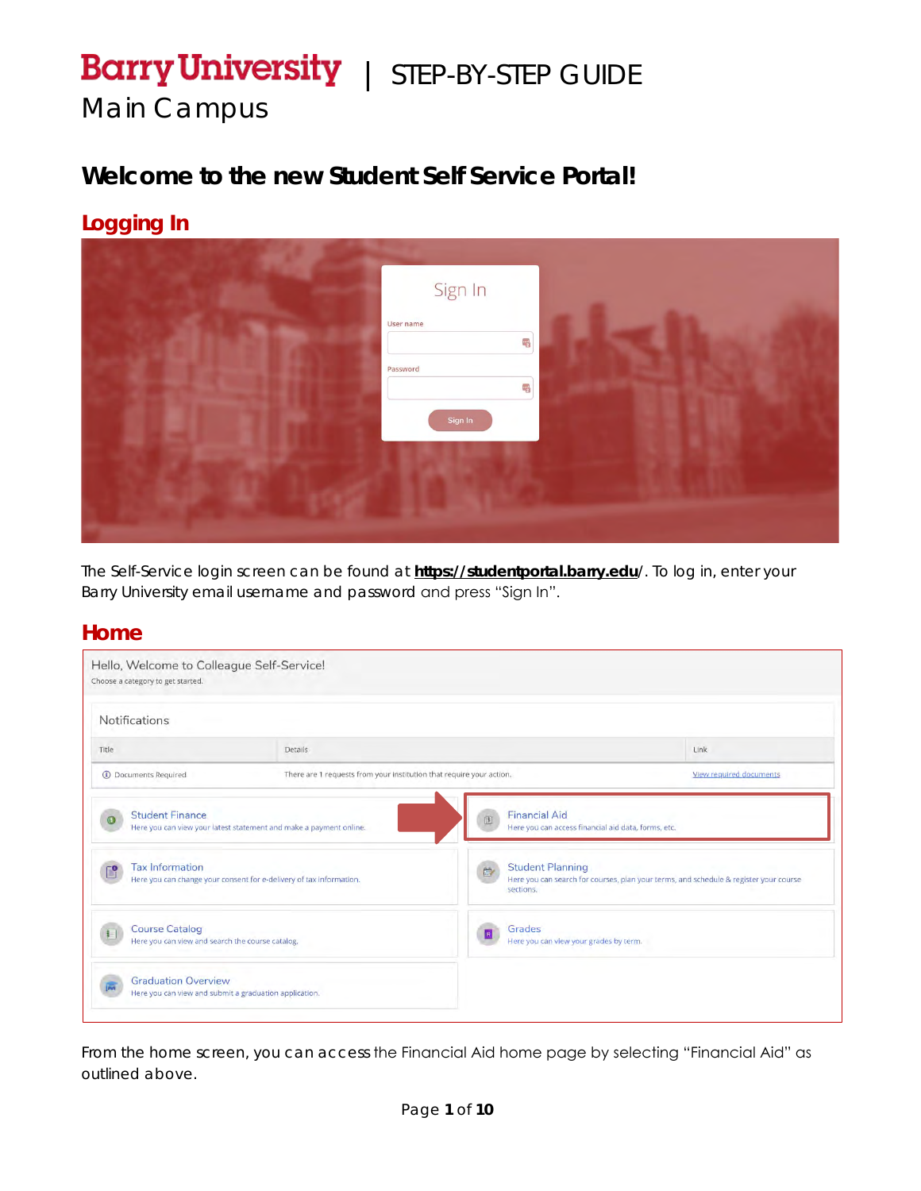# **Barry University** | STEP-BY-STEP GUIDE

*Main Campus*

## **Welcome to the new Student Self Service Portal!**

#### **Logging In**



*The Self-Service login screen can be found at* **https://studentportal.barry.edu***/. To log in, enter your Barry University email username and password and press "Sign In".*

#### **Home**

| <b>Notifications</b>                                                      |                                                                      |                                                                                  |                                                                                       |
|---------------------------------------------------------------------------|----------------------------------------------------------------------|----------------------------------------------------------------------------------|---------------------------------------------------------------------------------------|
| Title                                                                     | <b>Details</b>                                                       |                                                                                  | Link                                                                                  |
| <b>1</b> Documents Required                                               | There are 1 requests from your institution that require your action. |                                                                                  | View required documents                                                               |
| <b>Student Finance</b>                                                    | Here you can view your latest statement and make a payment online.   | <b>Financial Aid</b><br>圓<br>Here you can access financial aid data, forms, etc. |                                                                                       |
| <b>Tax Information</b>                                                    | Here you can change your consent for e-delivery of tax information.  | <b>Student Planning</b><br>廊<br>sections.                                        | Here you can search for courses, plan your terms, and schedule & register your course |
| <b>Course Catalog</b><br>Here you can view and search the course catalog. |                                                                      | Grades<br>Here you can view your grades by term.                                 |                                                                                       |
| <b>Graduation Overview</b>                                                | Here you can view and submit a graduation application.               |                                                                                  |                                                                                       |

*From the home screen, you can access the Financial Aid home page by selecting "Financial Aid" as outlined above.*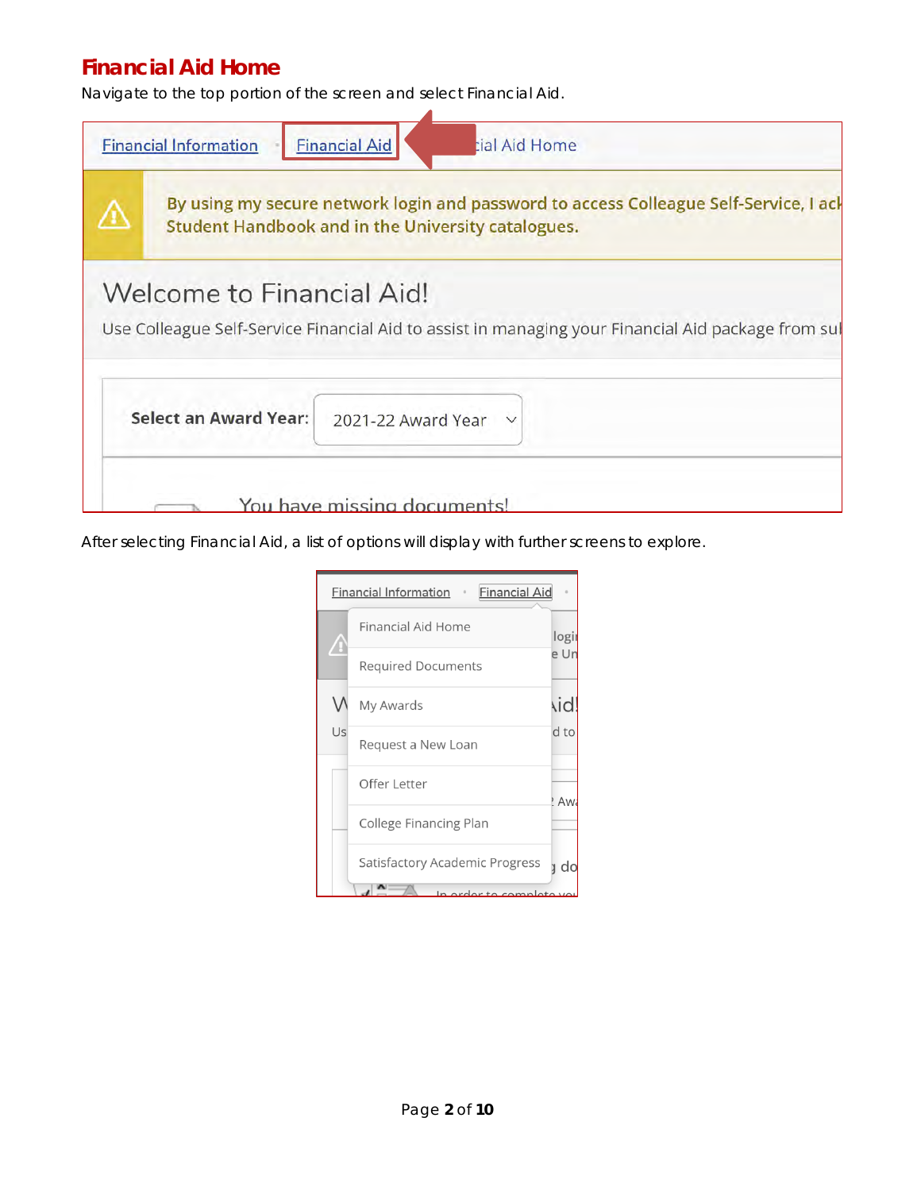#### **Financial Aid Home**

*Navigate to the top portion of the screen and select Financial Aid.*



*After selecting Financial Aid, a list of options will display with further screens to explore.*

|    | <b>Financial Aid</b><br><b>Financial Information</b><br>$\alpha$ |            |
|----|------------------------------------------------------------------|------------|
|    | <b>Financial Aid Home</b>                                        | logi       |
|    | <b>Required Documents</b>                                        | e Ur       |
|    | My Awards                                                        | <b>Aid</b> |
| Us | Request a New Loan                                               | d to       |
|    | Offer Letter                                                     | ! An       |
|    | College Financing Plan                                           |            |
|    | Satisfactory Academic Progress                                   | d          |
|    | In order to complete you                                         |            |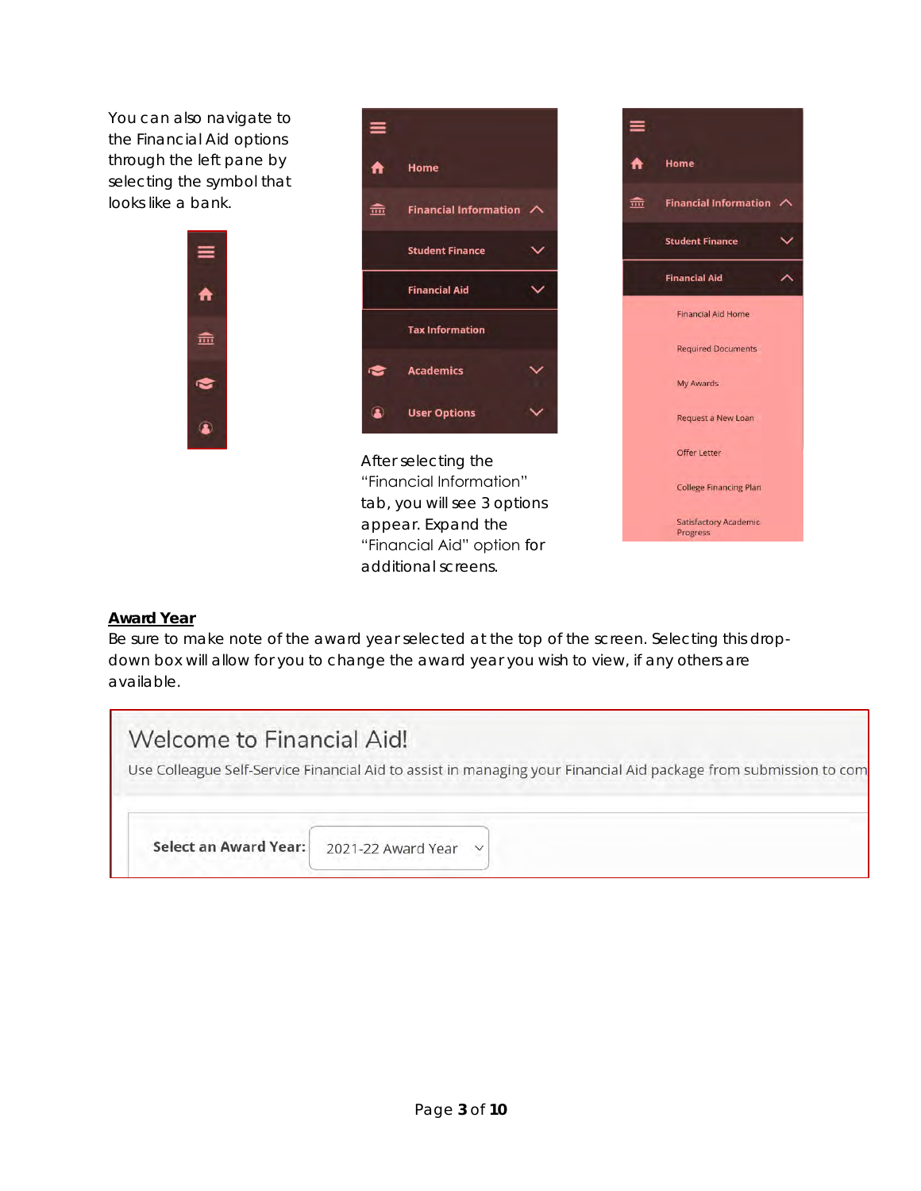*You can also navigate to the Financial Aid options through the left pane by selecting the symbol that looks like a bank.*

A

孟

❤



*After selecting the "Financial Information" tab, you will see 3 options appear. Expand the "Financial Aid" option for additional screens.*



#### **Award Year**

*Be sure to make note of the award year selected at the top of the screen. Selecting this dropdown box will allow for you to change the award year you wish to view, if any others are available.*

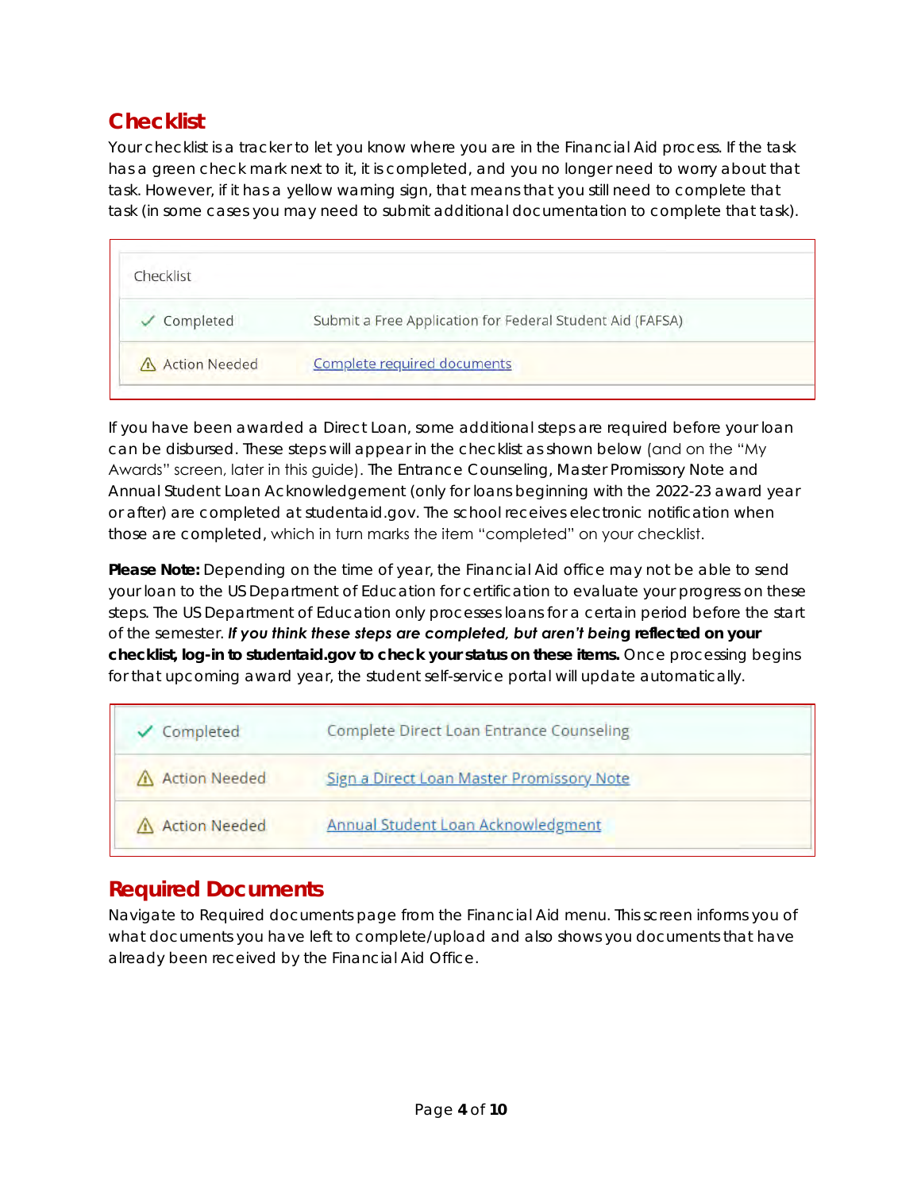#### **Checklist**

*Your checklist is a tracker to let you know where you are in the Financial Aid process. If the task*  has a green check mark next to it, it is completed, and you no longer need to worry about that task. However, if it has a yellow warning sign, that means that you still need to complete that *task (in some cases you may need to submit additional documentation to complete that task).*

| Checklist              |                                                           |
|------------------------|-----------------------------------------------------------|
| $\checkmark$ Completed | Submit a Free Application for Federal Student Aid (FAFSA) |
| A Action Needed        | Complete required documents                               |

*If you have been awarded a Direct Loan, some additional steps are required before your loan can be disbursed. These steps will appear in the checklist as shown below (and on the "My Awards" screen, later in this guide). The Entrance Counseling, Master Promissory Note and Annual Student Loan Acknowledgement (only for loans beginning with the 2022-23 award year or after) are completed at studentaid.gov. The school receives electronic notification when those are completed, which in turn marks the item "completed" on your checklist.* 

*Please Note: Depending on the time of year, the Financial Aid office may not be able to send your loan to the US Department of Education for certification to evaluate your progress on these steps. The US Department of Education only processes loans for a certain period before the start of the semester. If you think these steps are completed, but aren't being reflected on your checklist, log-in to studentaid.gov to check your status on these items. Once processing begins for that upcoming award year, the student self-service portal will update automatically.*

| ✔ Completed          | Complete Direct Loan Entrance Counseling  |  |
|----------------------|-------------------------------------------|--|
| A Action Needed      | Sign a Direct Loan Master Promissory Note |  |
| <b>Action Needed</b> | Annual Student Loan Acknowledgment        |  |

#### **Required Documents**

*Navigate to Required documents page from the Financial Aid menu. This screen informs you of what documents you have left to complete/upload and also shows you documents that have already been received by the Financial Aid Office.*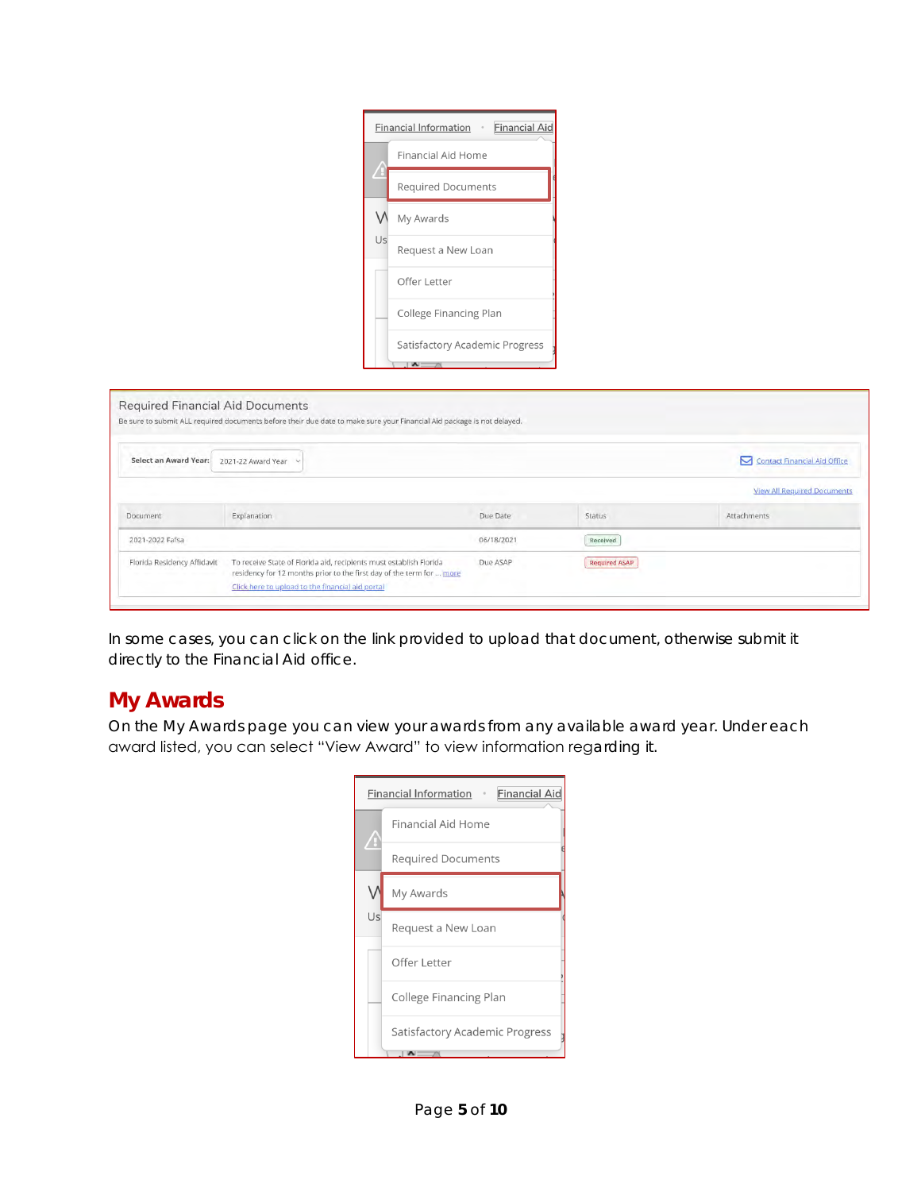|    | <b>Financial Aid</b><br><b>Financial Information</b> . |
|----|--------------------------------------------------------|
|    | Financial Aid Home                                     |
|    | <b>Required Documents</b>                              |
|    | My Awards                                              |
| Us | Request a New Loan                                     |
|    | Offer Letter                                           |
|    | College Financing Plan                                 |
|    | Satisfactory Academic Progress                         |

|                             | Be sure to submit ALL required documents before their due date to make sure your Financial Aid package is not delayed.                                                                         |            |                      |                                    |
|-----------------------------|------------------------------------------------------------------------------------------------------------------------------------------------------------------------------------------------|------------|----------------------|------------------------------------|
| Select an Award Year:       | 2021-22 Award Year v                                                                                                                                                                           |            |                      | Contact Financial Aid Office       |
|                             |                                                                                                                                                                                                |            |                      | <b>View All Required Documents</b> |
| Document                    | Explanation                                                                                                                                                                                    | Due Date   | Status               | Attachments                        |
| 2021-2022 Fafsa             |                                                                                                                                                                                                | 06/18/2021 | Received             |                                    |
| Florida Residency Affidavit | To receive State of Florida aid, recipients must establish Florida<br>residency for 12 months prior to the first day of the term for  more<br>Click here to upload to the financial aid portal | Due ASAP   | <b>Required ASAP</b> |                                    |

In some cases, you can click on the link provided to upload that document, otherwise submit it *directly to the Financial Aid office.*

#### **My Awards**

*On the My Awards page you can view your awards from any available award year. Under each award listed, you can select "View Award" to view information regarding it.*

|    | <b>Financial Aid</b><br><b>Financial Information</b><br>$\alpha$ |
|----|------------------------------------------------------------------|
|    | Financial Aid Home                                               |
|    | <b>Required Documents</b>                                        |
|    | My Awards                                                        |
| Us | Request a New Loan                                               |
|    | Offer Letter                                                     |
|    | College Financing Plan                                           |
|    | <b>Satisfactory Academic Progress</b>                            |
|    |                                                                  |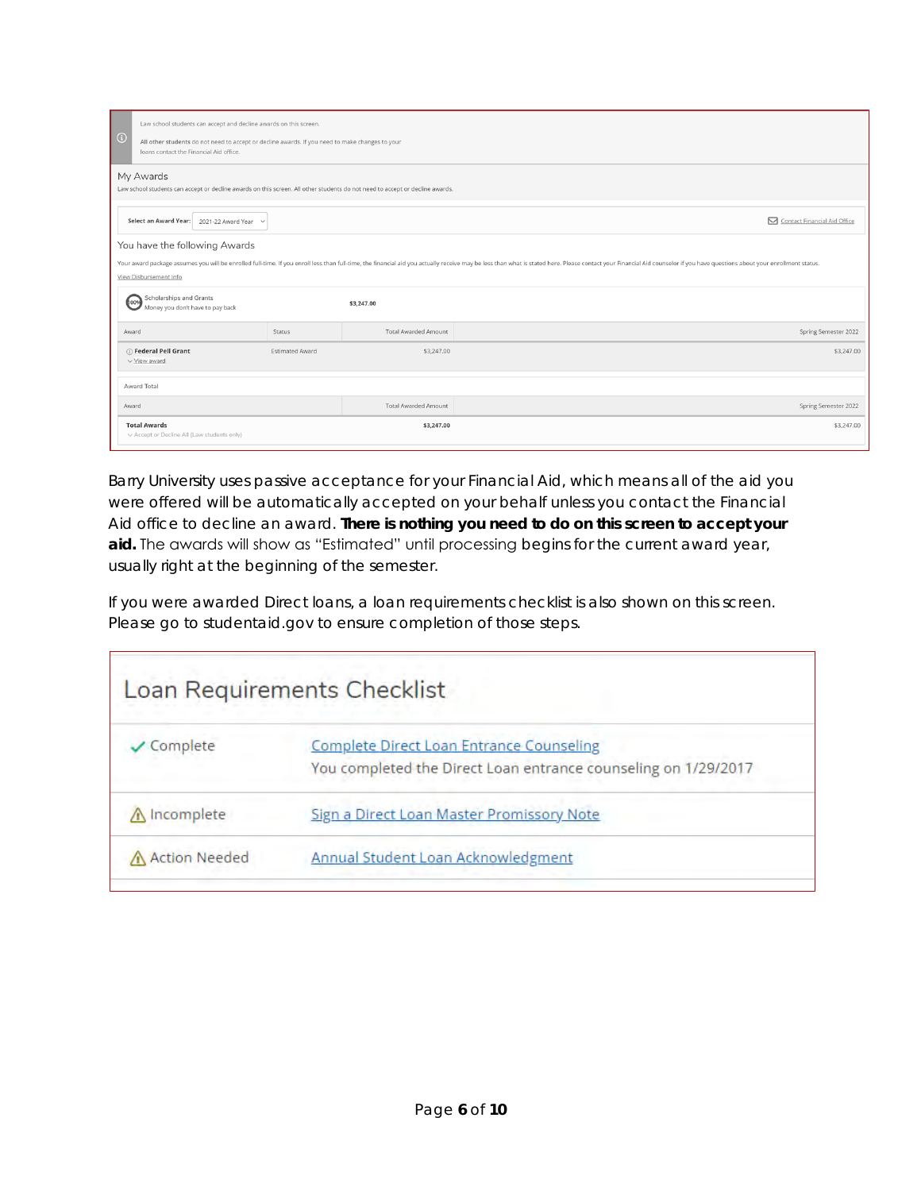| $\odot$ | Law school students can accept and decline awards on this screen.<br>All other students do not need to accept or decline awards. If you need to make changes to your<br>loans contact the Financial Aid office. |                        |                             |                                                                                                                                                                                                                               |
|---------|-----------------------------------------------------------------------------------------------------------------------------------------------------------------------------------------------------------------|------------------------|-----------------------------|-------------------------------------------------------------------------------------------------------------------------------------------------------------------------------------------------------------------------------|
|         | My Awards<br>Law school students can accept or decline awards on this screen. All other students do not need to accept or decline awards.                                                                       |                        |                             |                                                                                                                                                                                                                               |
|         | Select an Award Year:<br>2021-22 Award Year<br>$\check{~}$                                                                                                                                                      |                        |                             | Contact Financial Aid Office                                                                                                                                                                                                  |
|         | You have the following Awards<br>View Disbursement Info                                                                                                                                                         |                        |                             | Your award package assumes you will be enrolled full-time. If you enroll less than full-time, the financial aid you actually receive may be less than what is stated here. Please contact your Financial Aid counselor if you |
|         | <b>Scholarships and Grants</b><br>100%<br>Money you don't have to pay back                                                                                                                                      |                        | \$3,247.00                  |                                                                                                                                                                                                                               |
| Award   |                                                                                                                                                                                                                 | <b>Status</b>          | <b>Total Awarded Amount</b> | Spring Semester 2022                                                                                                                                                                                                          |
|         | (i) Federal Pell Grant<br>$\vee$ View award                                                                                                                                                                     | <b>Estimated Award</b> | \$3,247.00                  | \$3,247.00                                                                                                                                                                                                                    |
|         | Award Total                                                                                                                                                                                                     |                        |                             |                                                                                                                                                                                                                               |
| Award   |                                                                                                                                                                                                                 |                        | <b>Total Awarded Amount</b> | Spring Semester 2022                                                                                                                                                                                                          |
|         | <b>Total Awards</b><br>v Accept or Decline All (Law students only)                                                                                                                                              |                        | \$3,247.00                  | \$3,247.00                                                                                                                                                                                                                    |

*Barry University uses passive acceptance for your Financial Aid, which means all of the aid you were offered will be automatically accepted on your behalf unless you contact the Financial Aid office to decline an award.* **There is nothing you need to do on this screen to accept your aid.** *The awards will show as "Estimated" until processing begins for the current award year, usually right at the beginning of the semester.*

*If you were awarded Direct loans, a loan requirements checklist is also shown on this screen. Please go to studentaid.gov to ensure completion of those steps.*

|                      | Loan Requirements Checklist                                                                                       |
|----------------------|-------------------------------------------------------------------------------------------------------------------|
| Complete             | <b>Complete Direct Loan Entrance Counseling</b><br>You completed the Direct Loan entrance counseling on 1/29/2017 |
| M Incomplete         | Sign a Direct Loan Master Promissory Note                                                                         |
| <b>Action Needed</b> | Annual Student Loan Acknowledgment                                                                                |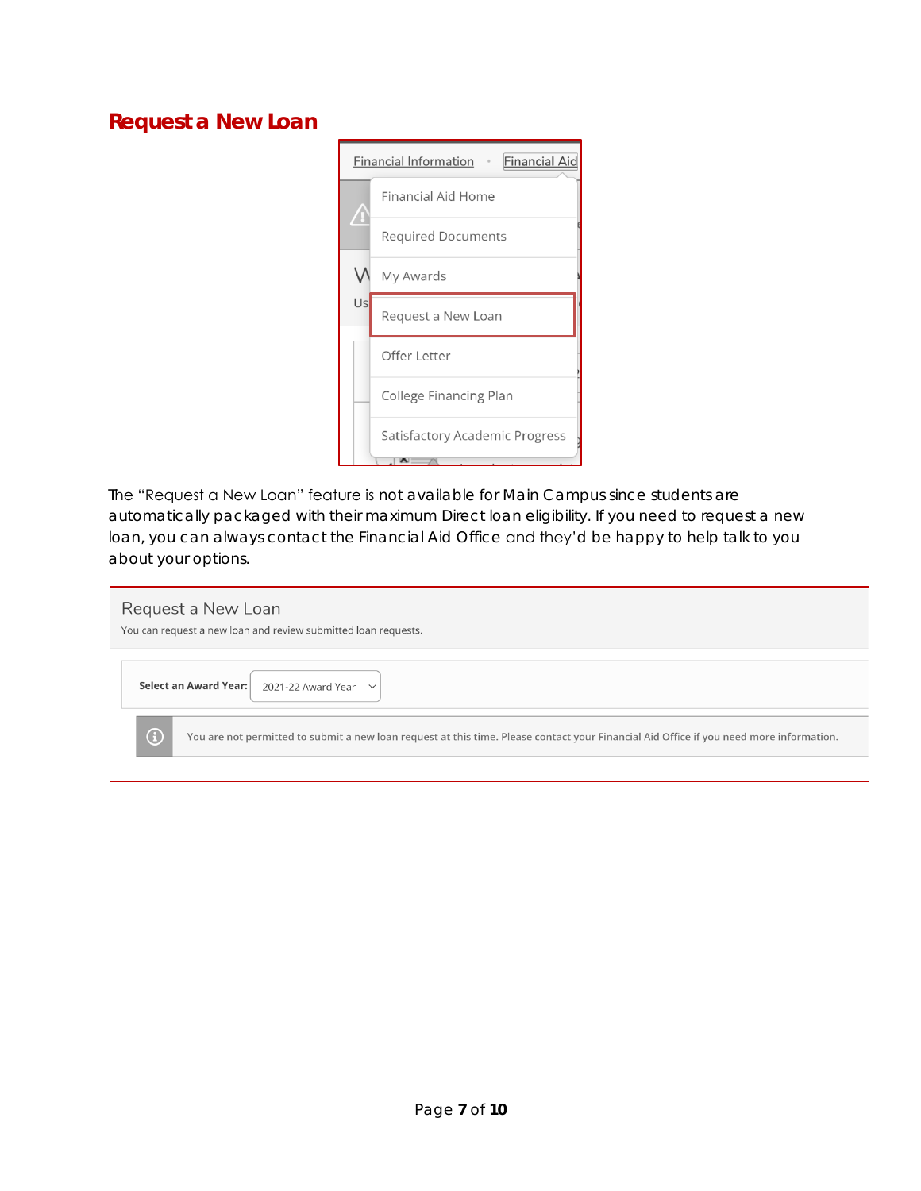#### **Request a New Loan**



*The "Request a New Loan" feature is not available for Main Campus since students are automatically packaged with their maximum Direct loan eligibility. If you need to request a new loan, you can always contact the Financial Aid Office and they'd be happy to help talk to you about your options.*

| Request a New Loan<br>You can request a new loan and review submitted loan requests.                                                                  |
|-------------------------------------------------------------------------------------------------------------------------------------------------------|
| Select an Award Year: 2021-22 Award Year $\sim$                                                                                                       |
| $\bigcirc$<br>You are not permitted to submit a new loan request at this time. Please contact your Financial Aid Office if you need more information. |
|                                                                                                                                                       |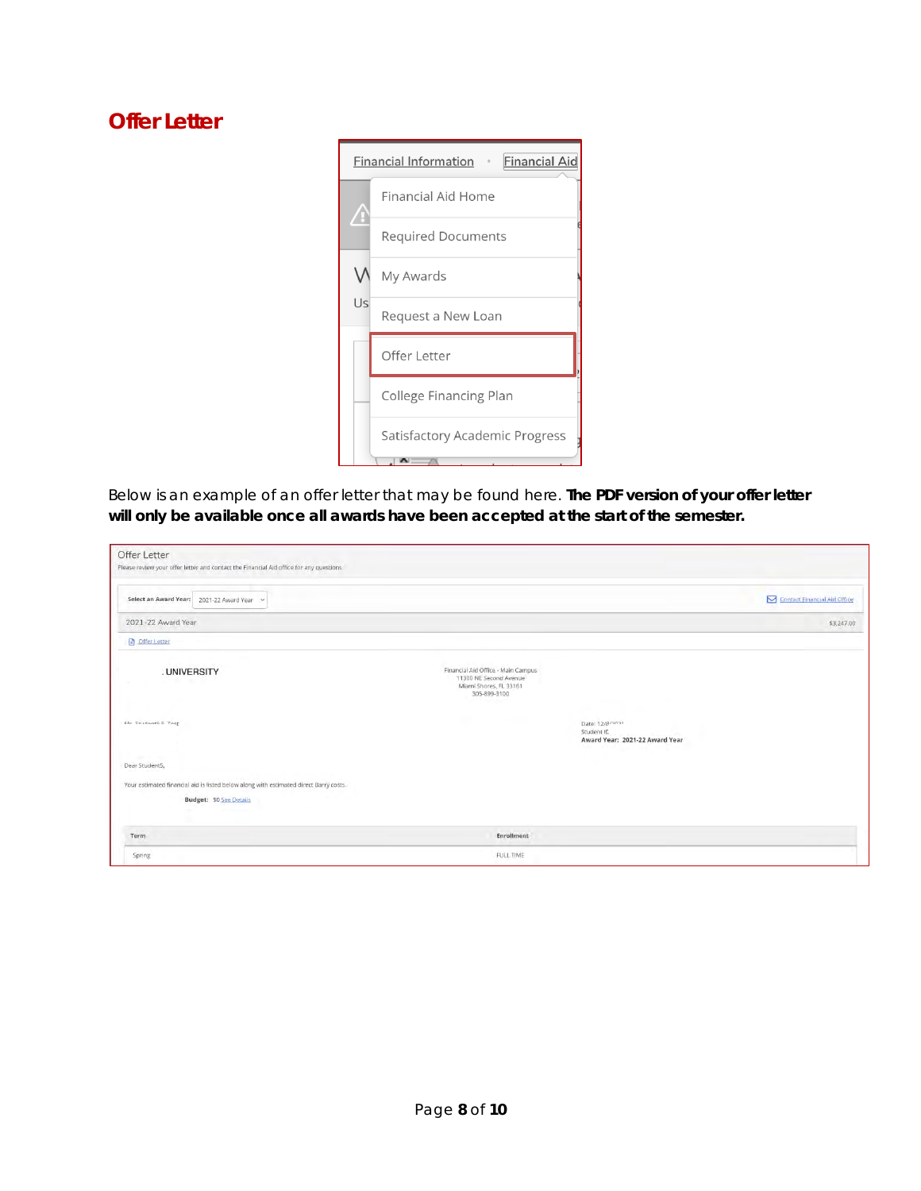#### **Offer Letter**



*Below is an example of an offer letter that may be found here.* **The PDF version of your offer letter will only be available once all awards have been accepted at the start of the semester.**

| Offer Letter<br>Please review your offer letter and contact the Financial Aid office for any questions |                                                                                                        |                                                                 |                              |
|--------------------------------------------------------------------------------------------------------|--------------------------------------------------------------------------------------------------------|-----------------------------------------------------------------|------------------------------|
| Select an Award Year:<br>2021-22 Award Year v                                                          |                                                                                                        |                                                                 | Contact Financial Aid Office |
| 2021-22 Award Year                                                                                     |                                                                                                        |                                                                 | \$3,247.00                   |
| <b>D</b> Offer Letter                                                                                  |                                                                                                        |                                                                 |                              |
| .UNIVERSITY                                                                                            | Financial Aid Office - Main Campus<br>11300 NE Second Avenue<br>Miami Shores, FL 33161<br>305-899-3100 |                                                                 |                              |
| <b>Me Crudents E Test</b>                                                                              |                                                                                                        | Date: 12/8/2021<br>Student ID<br>Award Year: 2021-22 Award Year |                              |
| <b>Service</b><br>Dear Student5,                                                                       |                                                                                                        |                                                                 |                              |
| Your estimated financial aid is listed below along with estimated direct Barry costs.                  |                                                                                                        |                                                                 |                              |
| <b>Budget: \$0 See Details</b>                                                                         |                                                                                                        |                                                                 |                              |
| Term                                                                                                   | Enrollment                                                                                             |                                                                 |                              |
| Spring                                                                                                 | FULL TIME                                                                                              |                                                                 |                              |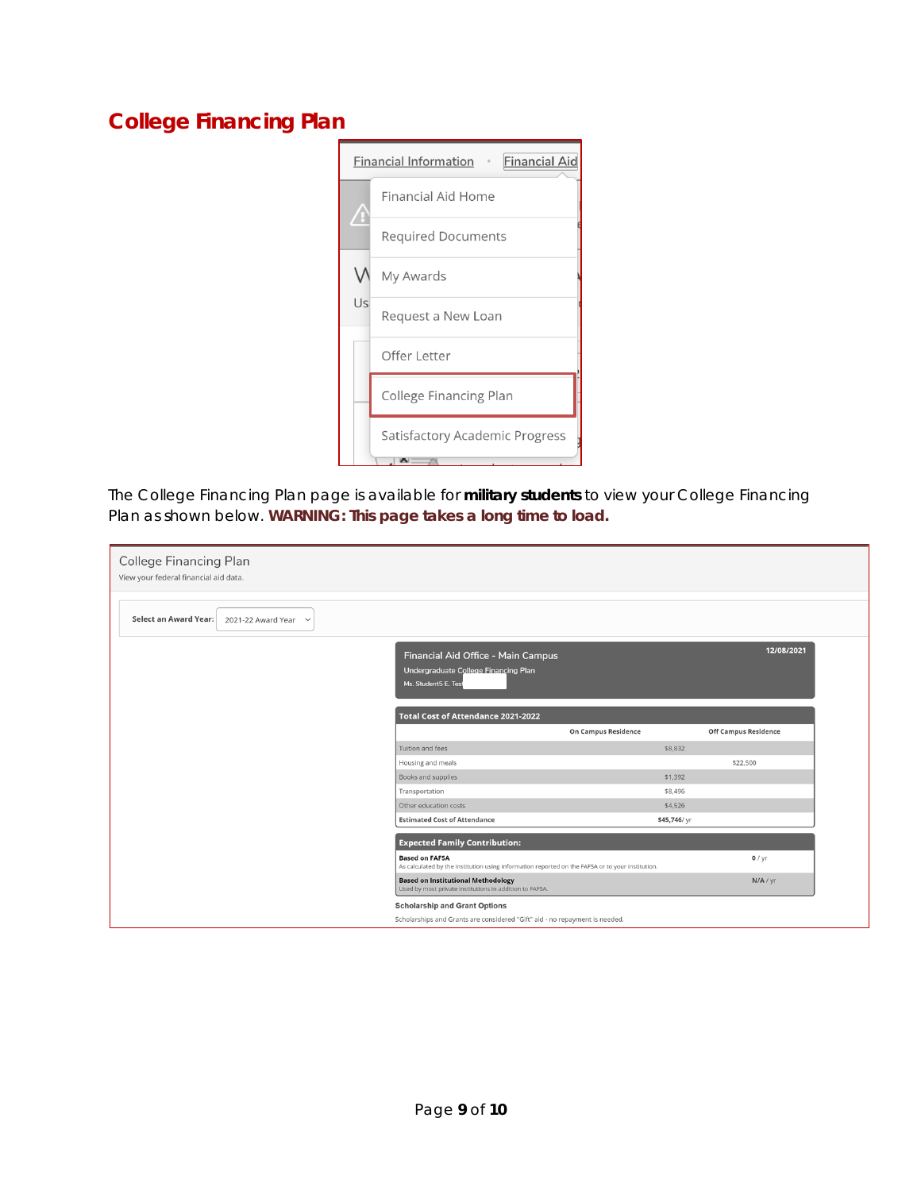### **College Financing Plan**



*The College Financing Plan page is available for* **military students** *to view your College Financing Plan as shown below.* **WARNING: This page takes a long time to load.**

| <b>College Financing Plan</b><br>View your federal financial aid data. |                                                                                                                                                 |                     |                             |
|------------------------------------------------------------------------|-------------------------------------------------------------------------------------------------------------------------------------------------|---------------------|-----------------------------|
| <b>Select an Award Year:</b><br>2021-22 Award Year $\sim$              |                                                                                                                                                 |                     |                             |
|                                                                        | Financial Aid Office - Main Campus<br>Undergraduate College Financing Plan<br>Ms. Student5 E. Test<br><b>Total Cost of Attendance 2021-2022</b> |                     | 12/08/2021                  |
|                                                                        |                                                                                                                                                 | On Campus Residence | <b>Off Campus Residence</b> |
|                                                                        | Tuition and fees                                                                                                                                | \$8,832             |                             |
|                                                                        | Housing and meals                                                                                                                               |                     | \$22,500                    |
|                                                                        | Books and supplies                                                                                                                              | \$1,392             |                             |
|                                                                        | Transportation                                                                                                                                  | \$8,496             |                             |
|                                                                        | Other education costs                                                                                                                           | \$4,526             |                             |
|                                                                        | <b>Estimated Cost of Attendance</b>                                                                                                             | \$45,746/yr         |                             |
|                                                                        | <b>Expected Family Contribution:</b>                                                                                                            |                     |                             |
|                                                                        | <b>Based on FAFSA</b><br>As calculated by the institution using information reported on the FAFSA or to your institution.                       |                     | $0$ / yr                    |
|                                                                        | <b>Based on Institutional Methodology</b><br>Used by most private institutions in addition to FAFSA.                                            |                     | N/A / yr                    |
|                                                                        | <b>Scholarship and Grant Options</b>                                                                                                            |                     |                             |
|                                                                        | Scholarships and Grants are considered "Gift" aid - no repayment is needed.                                                                     |                     |                             |